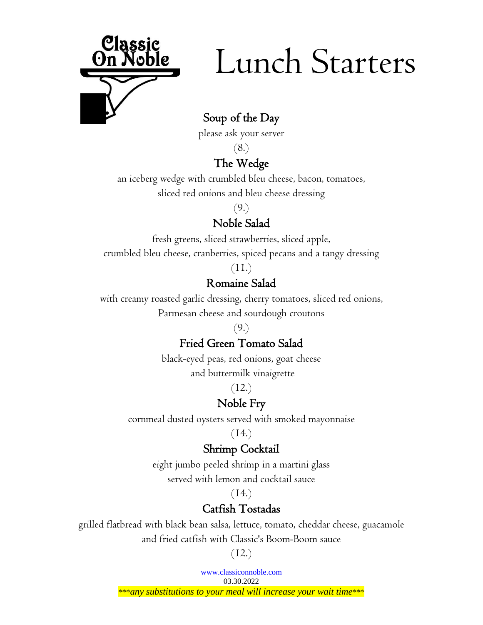

# Lunch Starters

# Soup of the Day

please ask your server

(8.)

## The Wedge

an iceberg wedge with crumbled bleu cheese, bacon, tomatoes, sliced red onions and bleu cheese dressing

(9.)

# Noble Salad

fresh greens, sliced strawberries, sliced apple,

crumbled bleu cheese, cranberries, spiced pecans and a tangy dressing

(11.)

## Romaine Salad

with creamy roasted garlic dressing, cherry tomatoes, sliced red onions, Parmesan cheese and sourdough croutons

 $(9)$ 

# Fried Green Tomato Salad

black-eyed peas, red onions, goat cheese and buttermilk vinaigrette

(12.)

# Noble Fry

cornmeal dusted oysters served with smoked mayonnaise

(14.)

# Shrimp Cocktail

eight jumbo peeled shrimp in a martini glass served with lemon and cocktail sauce

 $(14.)$ 

# Catfish Tostadas

grilled flatbread with black bean salsa, lettuce, tomato, cheddar cheese, guacamole and fried catfish with Classic's Boom-Boom sauce

 $(12.)$ 

[www.classiconnoble.com](http://www.classionnoble.com/) 03.30.2022

\*\*\**any substitutions to your meal will increase your wait time*\*\*\*